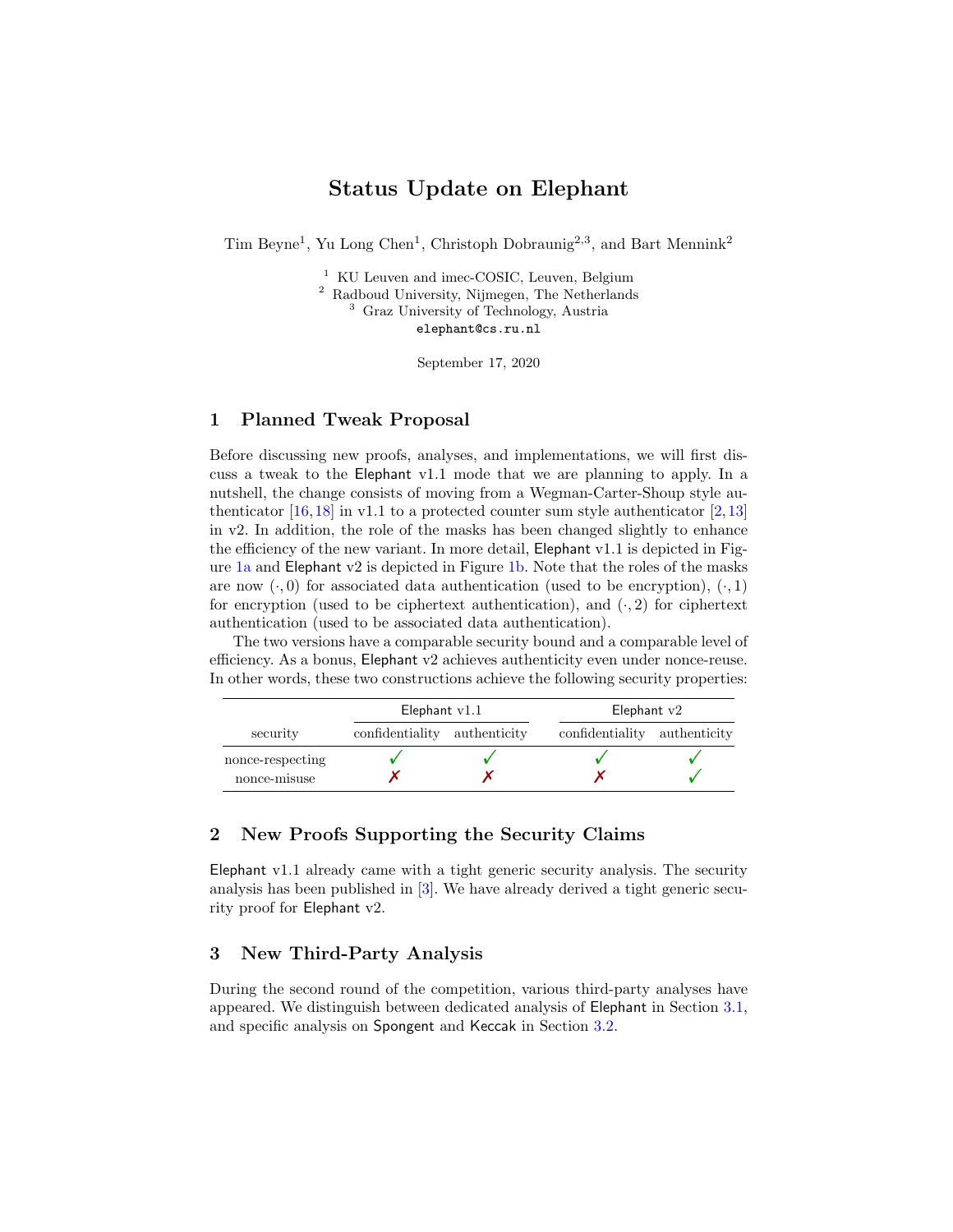# Status Update on Elephant

Tim Beyne<sup>1</sup>, Yu Long Chen<sup>1</sup>, Christoph Dobraunig<sup>2,3</sup>, and Bart Mennink<sup>2</sup>

<sup>1</sup> KU Leuven and imec-COSIC, Leuven, Belgium <sup>2</sup> Radboud University, Nijmegen, The Netherlands <sup>3</sup> Graz University of Technology, Austria [elephant@cs.ru.nl](mailto:elephant@cs.ru.nl)

September 17, 2020

### 1 Planned Tweak Proposal

Before discussing new proofs, analyses, and implementations, we will first discuss a tweak to the Elephant v1.1 mode that we are planning to apply. In a nutshell, the change consists of moving from a Wegman-Carter-Shoup style authenticator  $[16,18]$  $[16,18]$  in v1.1 to a protected counter sum style authenticator  $[2,13]$  $[2,13]$ in v2. In addition, the role of the masks has been changed slightly to enhance the efficiency of the new variant. In more detail, Elephant v1.1 is depicted in Fig-ure [1a](#page-1-0) and Elephant v2 is depicted in Figure [1b.](#page-1-1) Note that the roles of the masks are now  $(\cdot, 0)$  for associated data authentication (used to be encryption),  $(\cdot, 1)$ for encryption (used to be ciphertext authentication), and  $(·, 2)$  for ciphertext authentication (used to be associated data authentication).

The two versions have a comparable security bound and a comparable level of efficiency. As a bonus, Elephant v2 achieves authenticity even under nonce-reuse. In other words, these two constructions achieve the following security properties:

|                  | Elephant $v1.1$              |  | Elephant $v2$                |  |
|------------------|------------------------------|--|------------------------------|--|
| security         | confidentiality authenticity |  | confidentiality authenticity |  |
| nonce-respecting |                              |  |                              |  |
| nonce-misuse     |                              |  |                              |  |

### 2 New Proofs Supporting the Security Claims

Elephant v1.1 already came with a tight generic security analysis. The security analysis has been published in [\[3\]](#page-4-4). We have already derived a tight generic security proof for Elephant v2.

# 3 New Third-Party Analysis

During the second round of the competition, various third-party analyses have appeared. We distinguish between dedicated analysis of Elephant in Section [3.1,](#page-1-2) and specific analysis on Spongent and Keccak in Section [3.2.](#page-2-0)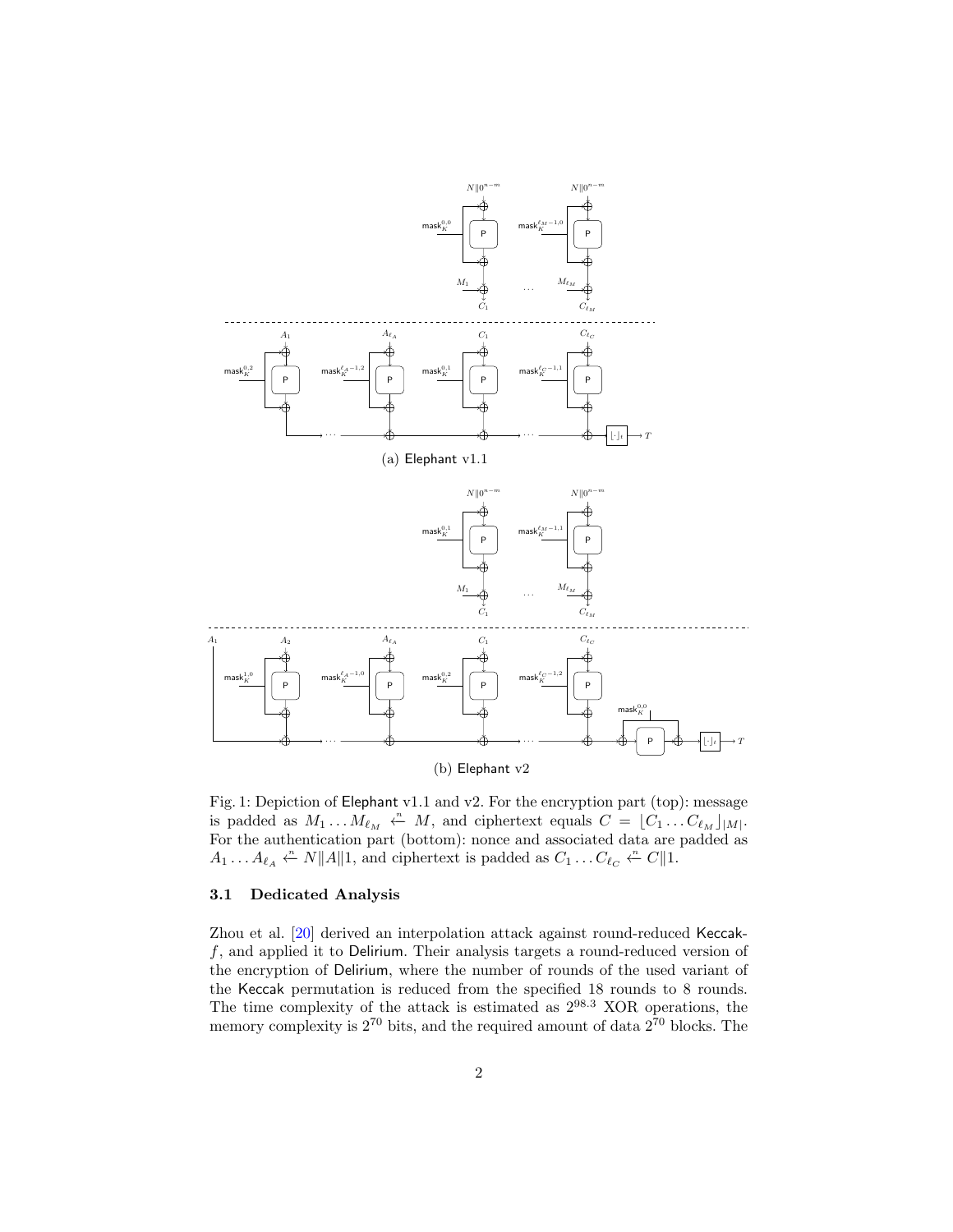<span id="page-1-0"></span>

<span id="page-1-1"></span>Fig. 1: Depiction of Elephant v1.1 and v2. For the encryption part (top): message is padded as  $M_1 \dots M_{\ell_M} \stackrel{\cdot n}{\leftarrow} M$ , and ciphertext equals  $C = [C_1 \dots C_{\ell_M}]_{|M|}$ . For the authentication part (bottom): nonce and associated data are padded as  $A_1 \dots A_{\ell_A} \stackrel{\cdot n}{\leftarrow} N||A||1$ , and ciphertext is padded as  $C_1 \dots C_{\ell_C} \stackrel{\cdot n}{\leftarrow} C||1$ .

### <span id="page-1-2"></span>3.1 Dedicated Analysis

Zhou et al. [\[20\]](#page-4-5) derived an interpolation attack against round-reduced Keccakf, and applied it to Delirium. Their analysis targets a round-reduced version of the encryption of Delirium, where the number of rounds of the used variant of the Keccak permutation is reduced from the specified 18 rounds to 8 rounds. The time complexity of the attack is estimated as  $2^{98.3}$  XOR operations, the memory complexity is  $2^{70}$  bits, and the required amount of data  $2^{70}$  blocks. The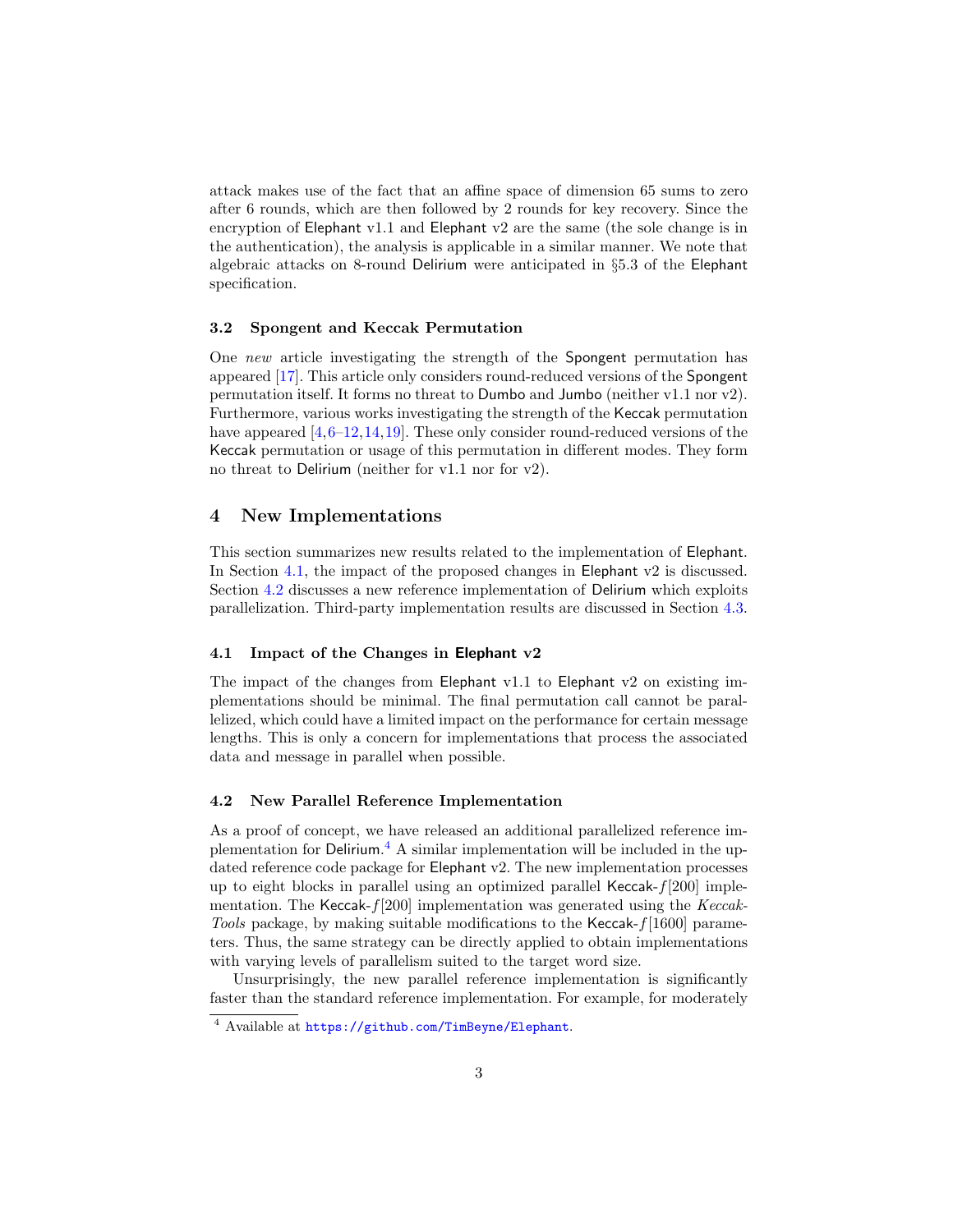attack makes use of the fact that an affine space of dimension 65 sums to zero after 6 rounds, which are then followed by 2 rounds for key recovery. Since the encryption of Elephant v1.1 and Elephant v2 are the same (the sole change is in the authentication), the analysis is applicable in a similar manner. We note that algebraic attacks on 8-round Delirium were anticipated in §5.3 of the Elephant specification.

#### <span id="page-2-0"></span>3.2 Spongent and Keccak Permutation

One new article investigating the strength of the Spongent permutation has appeared [\[17\]](#page-4-6). This article only considers round-reduced versions of the Spongent permutation itself. It forms no threat to Dumbo and Jumbo (neither v1.1 nor v2). Furthermore, various works investigating the strength of the Keccak permutation have appeared  $[4,6-12,14,19]$  $[4,6-12,14,19]$  $[4,6-12,14,19]$  $[4,6-12,14,19]$  $[4,6-12,14,19]$ . These only consider round-reduced versions of the Keccak permutation or usage of this permutation in different modes. They form no threat to Delirium (neither for v1.1 nor for v2).

### 4 New Implementations

This section summarizes new results related to the implementation of Elephant. In Section [4.1,](#page-2-1) the impact of the proposed changes in Elephant v2 is discussed. Section [4.2](#page-2-2) discusses a new reference implementation of Delirium which exploits parallelization. Third-party implementation results are discussed in Section [4.3.](#page-3-0)

#### <span id="page-2-1"></span>4.1 Impact of the Changes in Elephant v2

The impact of the changes from Elephant v1.1 to Elephant v2 on existing implementations should be minimal. The final permutation call cannot be parallelized, which could have a limited impact on the performance for certain message lengths. This is only a concern for implementations that process the associated data and message in parallel when possible.

### <span id="page-2-2"></span>4.2 New Parallel Reference Implementation

As a proof of concept, we have released an additional parallelized reference im-plementation for Delirium.<sup>[4](#page-2-3)</sup> A similar implementation will be included in the updated reference code package for Elephant v2. The new implementation processes up to eight blocks in parallel using an optimized parallel Keccak-f[200] implementation. The Keccak- $f[200]$  implementation was generated using the Keccak-Tools package, by making suitable modifications to the Keccak-f[1600] parameters. Thus, the same strategy can be directly applied to obtain implementations with varying levels of parallelism suited to the target word size.

Unsurprisingly, the new parallel reference implementation is significantly faster than the standard reference implementation. For example, for moderately

<span id="page-2-3"></span><sup>4</sup> Available at <https://github.com/TimBeyne/Elephant>.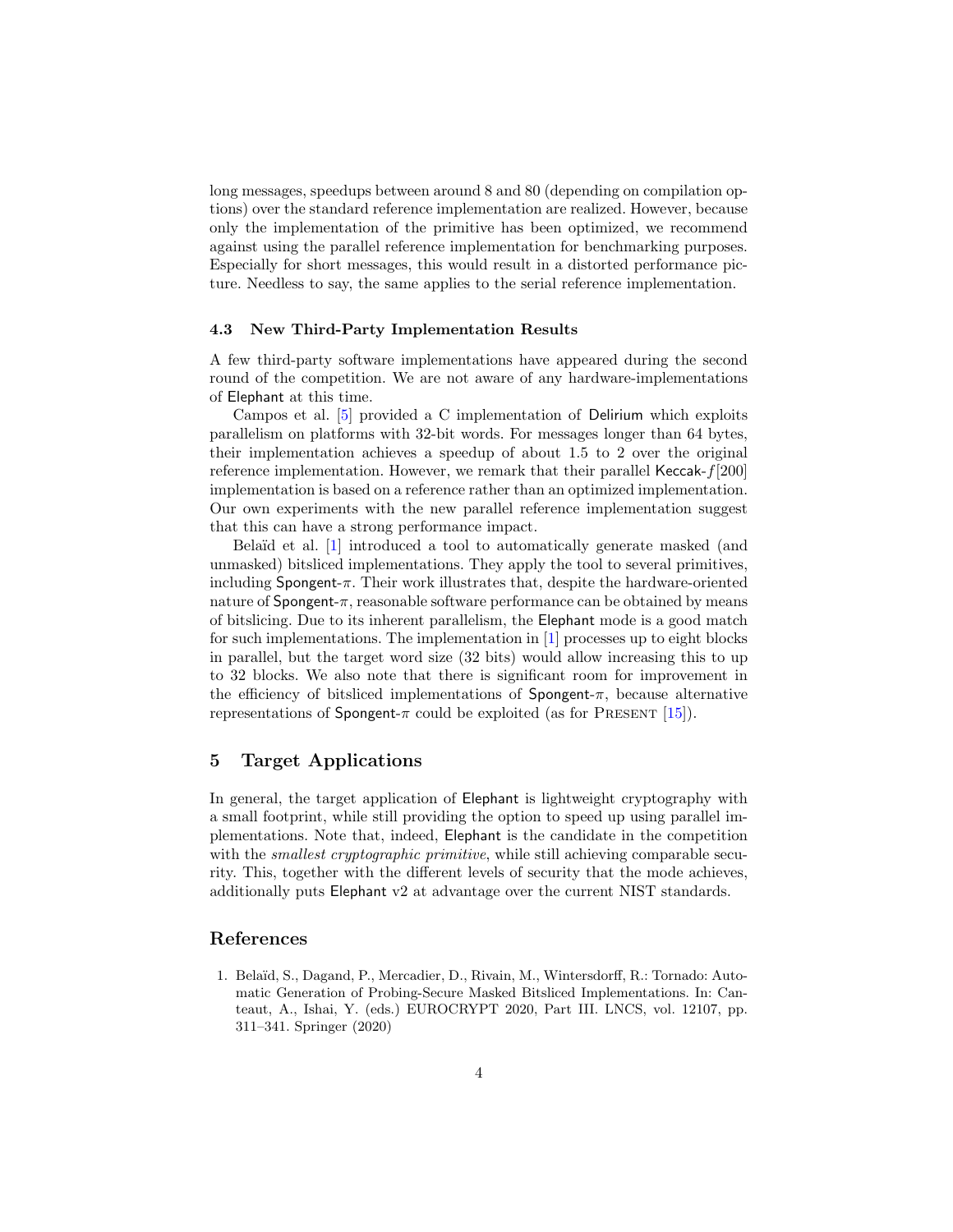long messages, speedups between around 8 and 80 (depending on compilation options) over the standard reference implementation are realized. However, because only the implementation of the primitive has been optimized, we recommend against using the parallel reference implementation for benchmarking purposes. Especially for short messages, this would result in a distorted performance picture. Needless to say, the same applies to the serial reference implementation.

#### <span id="page-3-0"></span>4.3 New Third-Party Implementation Results

A few third-party software implementations have appeared during the second round of the competition. We are not aware of any hardware-implementations of Elephant at this time.

Campos et al. [\[5\]](#page-4-12) provided a C implementation of Delirium which exploits parallelism on platforms with 32-bit words. For messages longer than 64 bytes, their implementation achieves a speedup of about 1.5 to 2 over the original reference implementation. However, we remark that their parallel Keccak- $f[200]$ implementation is based on a reference rather than an optimized implementation. Our own experiments with the new parallel reference implementation suggest that this can have a strong performance impact.

Belaïd et al. [\[1\]](#page-3-1) introduced a tool to automatically generate masked (and unmasked) bitsliced implementations. They apply the tool to several primitives, including Spongent- $\pi$ . Their work illustrates that, despite the hardware-oriented nature of  $S$ pongent- $\pi$ , reasonable software performance can be obtained by means of bitslicing. Due to its inherent parallelism, the Elephant mode is a good match for such implementations. The implementation in [\[1\]](#page-3-1) processes up to eight blocks in parallel, but the target word size (32 bits) would allow increasing this to up to 32 blocks. We also note that there is significant room for improvement in the efficiency of bitsliced implementations of  $S$ pongent- $\pi$ , because alternative representations of Spongent- $\pi$  could be exploited (as for PRESENT [\[15\]](#page-4-13)).

## 5 Target Applications

In general, the target application of Elephant is lightweight cryptography with a small footprint, while still providing the option to speed up using parallel implementations. Note that, indeed, Elephant is the candidate in the competition with the *smallest cryptographic primitive*, while still achieving comparable security. This, together with the different levels of security that the mode achieves, additionally puts Elephant v2 at advantage over the current NIST standards.

### References

<span id="page-3-1"></span>1. Belaïd, S., Dagand, P., Mercadier, D., Rivain, M., Wintersdorff, R.: Tornado: Automatic Generation of Probing-Secure Masked Bitsliced Implementations. In: Canteaut, A., Ishai, Y. (eds.) EUROCRYPT 2020, Part III. LNCS, vol. 12107, pp. 311–341. Springer (2020)